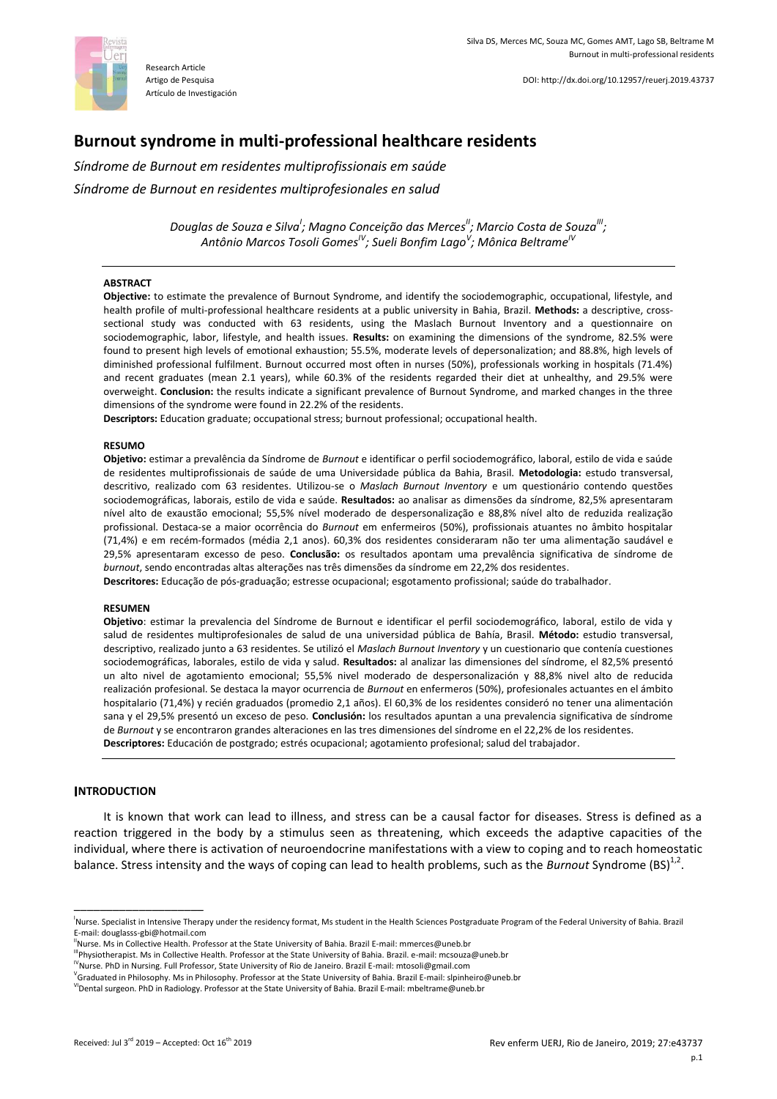

# **Burnout syndrome in multi-professional healthcare residents**

*Síndrome de Burnout em residentes multiprofissionais em saúde*

*Síndrome de Burnout en residentes multiprofesionales en salud*

*Douglas de Souza e Silva<sup>I</sup> ; Magno Conceição das MercesII; Marcio Costa de SouzaIII ; Antônio Marcos Tosoli GomesIV; Sueli Bonfim Lago<sup>V</sup> ; Mônica BeltrameIV*

#### **ABSTRACT**

**Objective:** to estimate the prevalence of Burnout Syndrome, and identify the sociodemographic, occupational, lifestyle, and health profile of multi-professional healthcare residents at a public university in Bahia, Brazil. **Methods:** a descriptive, crosssectional study was conducted with 63 residents, using the Maslach Burnout Inventory and a questionnaire on sociodemographic, labor, lifestyle, and health issues. **Results:** on examining the dimensions of the syndrome, 82.5% were found to present high levels of emotional exhaustion; 55.5%, moderate levels of depersonalization; and 88.8%, high levels of diminished professional fulfilment. Burnout occurred most often in nurses (50%), professionals working in hospitals (71.4%) and recent graduates (mean 2.1 years), while 60.3% of the residents regarded their diet at unhealthy, and 29.5% were overweight. **Conclusion:** the results indicate a significant prevalence of Burnout Syndrome, and marked changes in the three dimensions of the syndrome were found in 22.2% of the residents.

**Descriptors:** Education graduate; occupational stress; burnout professional; occupational health.

#### **RESUMO**

**Objetivo:** estimar a prevalência da Síndrome de *Burnout* e identificar o perfil sociodemográfico, laboral, estilo de vida e saúde de residentes multiprofissionais de saúde de uma Universidade pública da Bahia, Brasil. **Metodologia:** estudo transversal, descritivo, realizado com 63 residentes. Utilizou-se o *Maslach Burnout Inventory* e um questionário contendo questões sociodemográficas, laborais, estilo de vida e saúde. **Resultados:** ao analisar as dimensões da síndrome, 82,5% apresentaram nível alto de exaustão emocional; 55,5% nível moderado de despersonalização e 88,8% nível alto de reduzida realização profissional. Destaca-se a maior ocorrência do *Burnout* em enfermeiros (50%), profissionais atuantes no âmbito hospitalar (71,4%) e em recém-formados (média 2,1 anos). 60,3% dos residentes consideraram não ter uma alimentação saudável e 29,5% apresentaram excesso de peso. **Conclusão:** os resultados apontam uma prevalência significativa de síndrome de *burnout*, sendo encontradas altas alterações nas três dimensões da síndrome em 22,2% dos residentes.

**Descritores:** Educação de pós-graduação; estresse ocupacional; esgotamento profissional; saúde do trabalhador.

#### **RESUMEN**

**Objetivo**: estimar la prevalencia del Síndrome de Burnout e identificar el perfil sociodemográfico, laboral, estilo de vida y salud de residentes multiprofesionales de salud de una universidad pública de Bahía, Brasil. **Método:** estudio transversal, descriptivo, realizado junto a 63 residentes. Se utilizó el *Maslach Burnout Inventory* y un cuestionario que contenía cuestiones sociodemográficas, laborales, estilo de vida y salud. **Resultados:** al analizar las dimensiones del síndrome, el 82,5% presentó un alto nivel de agotamiento emocional; 55,5% nivel moderado de despersonalización y 88,8% nivel alto de reducida realización profesional. Se destaca la mayor ocurrencia de *Burnout* en enfermeros (50%), profesionales actuantes en el ámbito hospitalario (71,4%) y recién graduados (promedio 2,1 años). El 60,3% de los residentes consideró no tener una alimentación sana y el 29,5% presentó un exceso de peso. **Conclusión:** los resultados apuntan a una prevalencia significativa de síndrome de *Burnout* y se encontraron grandes alteraciones en las tres dimensiones del síndrome en el 22,2% de los residentes. **Descriptores:** Educación de postgrado; estrés ocupacional; agotamiento profesional; salud del trabajador.

### **INTRODUCTION**

\_\_\_\_\_\_\_\_\_\_\_\_\_\_\_\_\_\_\_\_

It is known that work can lead to illness, and stress can be a causal factor for diseases. Stress is defined as a reaction triggered in the body by a stimulus seen as threatening, which exceeds the adaptive capacities of the individual, where there is activation of neuroendocrine manifestations with a view to coping and to reach homeostatic balance. Stress intensity and the ways of coping can lead to health problems, such as the *Burnout* Syndrome (BS)<sup>1,2</sup>.

I Nurse. Specialist in Intensive Therapy under the residency format, Ms student in the Health Sciences Postgraduate Program of the Federal University of Bahia. Brazil E-mail[: douglasss-gbi@hotmail.com](mailto:douglasss-gbi@hotmail.com) 

<sup>&</sup>lt;sup>"</sup>Nurse. Ms in Collective Health. Professor at the State University of Bahia. Brazil E-mail[: mmerces@uneb.br](mailto:mmerces@uneb.br)

IIIPhysiotherapist. Ms in Collective Health. Professor at the State University of Bahia. Brazil. e-mail[: mcsouza@uneb.br](mailto:mcsouza@uneb.br) 

<sup>&</sup>lt;sup>IV</sup>Nurse. PhD in Nursing. Full Professor, State University of Rio de Janeiro. Brazil E-mail: mtosoli@gmail.com

<sup>&</sup>lt;sup>V</sup>Graduated in Philosophy. Ms in Philosophy. Professor at the State University of Bahia. Brazil E-mail[: slpinheiro@uneb.br](mailto:slpinheiro@uneb.br)

<sup>&</sup>lt;sup>VI</sup>Dental surgeon. PhD in Radiology. Professor at the State University of Bahia. Brazil E-mail[: mbeltrame@uneb.br](mailto:mbeltrame@uneb.br)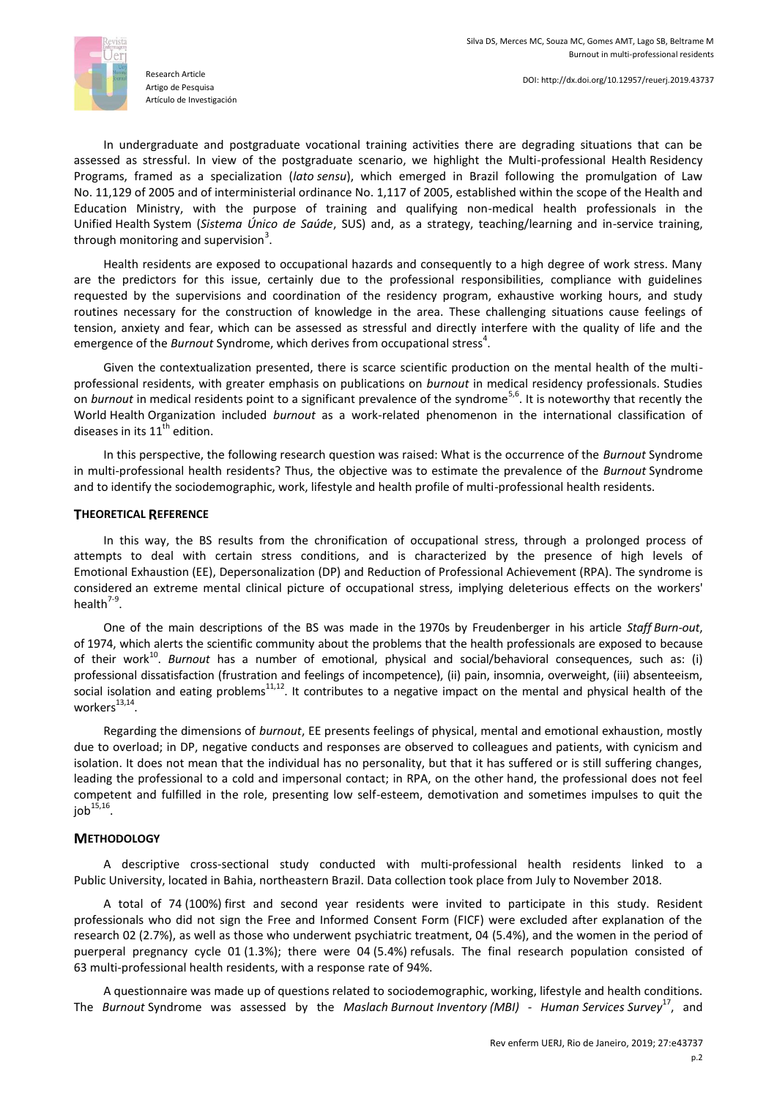

In undergraduate and postgraduate vocational training activities there are degrading situations that can be assessed as stressful. In view of the postgraduate scenario, we highlight the Multi-professional Health Residency Programs, framed as a specialization (*lato sensu*), which emerged in Brazil following the promulgation of Law No. 11,129 of 2005 and of interministerial ordinance No. 1,117 of 2005, established within the scope of the Health and Education Ministry, with the purpose of training and qualifying non-medical health professionals in the Unified Health System (*Sistema Único de Saúde*, SUS) and, as a strategy, teaching/learning and in-service training, through monitoring and supervision<sup>3</sup>.

Health residents are exposed to occupational hazards and consequently to a high degree of work stress. Many are the predictors for this issue, certainly due to the professional responsibilities, compliance with guidelines requested by the supervisions and coordination of the residency program, exhaustive working hours, and study routines necessary for the construction of knowledge in the area. These challenging situations cause feelings of tension, anxiety and fear, which can be assessed as stressful and directly interfere with the quality of life and the emergence of the *Burnout* Syndrome, which derives from occupational stress<sup>4</sup>.

Given the contextualization presented, there is scarce scientific production on the mental health of the multiprofessional residents, with greater emphasis on publications on *burnout* in medical residency professionals. Studies on *burnout* in medical residents point to a significant prevalence of the syndrome<sup>5,6</sup>. It is noteworthy that recently the World Health Organization included *burnout* as a work-related phenomenon in the international classification of diseases in its  $11<sup>th</sup>$  edition.

In this perspective, the following research question was raised: What is the occurrence of the *Burnout* Syndrome in multi-professional health residents? Thus, the objective was to estimate the prevalence of the *Burnout* Syndrome and to identify the sociodemographic, work, lifestyle and health profile of multi-professional health residents.

# **THEORETICAL REFERENCE**

In this way, the BS results from the chronification of occupational stress, through a prolonged process of attempts to deal with certain stress conditions, and is characterized by the presence of high levels of Emotional Exhaustion (EE), Depersonalization (DP) and Reduction of Professional Achievement (RPA). The syndrome is considered an extreme mental clinical picture of occupational stress, implying deleterious effects on the workers' health $7-9$ .

One of the main descriptions of the BS was made in the 1970s by Freudenberger in his article *Staff Burn-out*, of 1974, which alerts the scientific community about the problems that the health professionals are exposed to because of their work<sup>10</sup>. Burnout has a number of emotional, physical and social/behavioral consequences, such as: (i) professional dissatisfaction (frustration and feelings of incompetence), (ii) pain, insomnia, overweight, (iii) absenteeism, social isolation and eating problems<sup>11,12</sup>. It contributes to a negative impact on the mental and physical health of the  $workers^{13,14}$ .

Regarding the dimensions of *burnout*, EE presents feelings of physical, mental and emotional exhaustion, mostly due to overload; in DP, negative conducts and responses are observed to colleagues and patients, with cynicism and isolation. It does not mean that the individual has no personality, but that it has suffered or is still suffering changes, leading the professional to a cold and impersonal contact; in RPA, on the other hand, the professional does not feel competent and fulfilled in the role, presenting low self-esteem, demotivation and sometimes impulses to quit the job $^{15,16}.$ 

# **METHODOLOGY**

A descriptive cross-sectional study conducted with multi-professional health residents linked to a Public University, located in Bahia, northeastern Brazil. Data collection took place from July to November 2018.

A total of 74 (100%) first and second year residents were invited to participate in this study. Resident professionals who did not sign the Free and Informed Consent Form (FICF) were excluded after explanation of the research 02 (2.7%), as well as those who underwent psychiatric treatment, 04 (5.4%), and the women in the period of puerperal pregnancy cycle 01 (1.3%); there were 04 (5.4%) refusals. The final research population consisted of 63 multi-professional health residents, with a response rate of 94%.

A questionnaire was made up of questions related to sociodemographic, working, lifestyle and health conditions. The *Burnout* Syndrome was assessed by the *Maslach Burnout Inventory (MBI) - Human Services Survey*<sup>17</sup>, and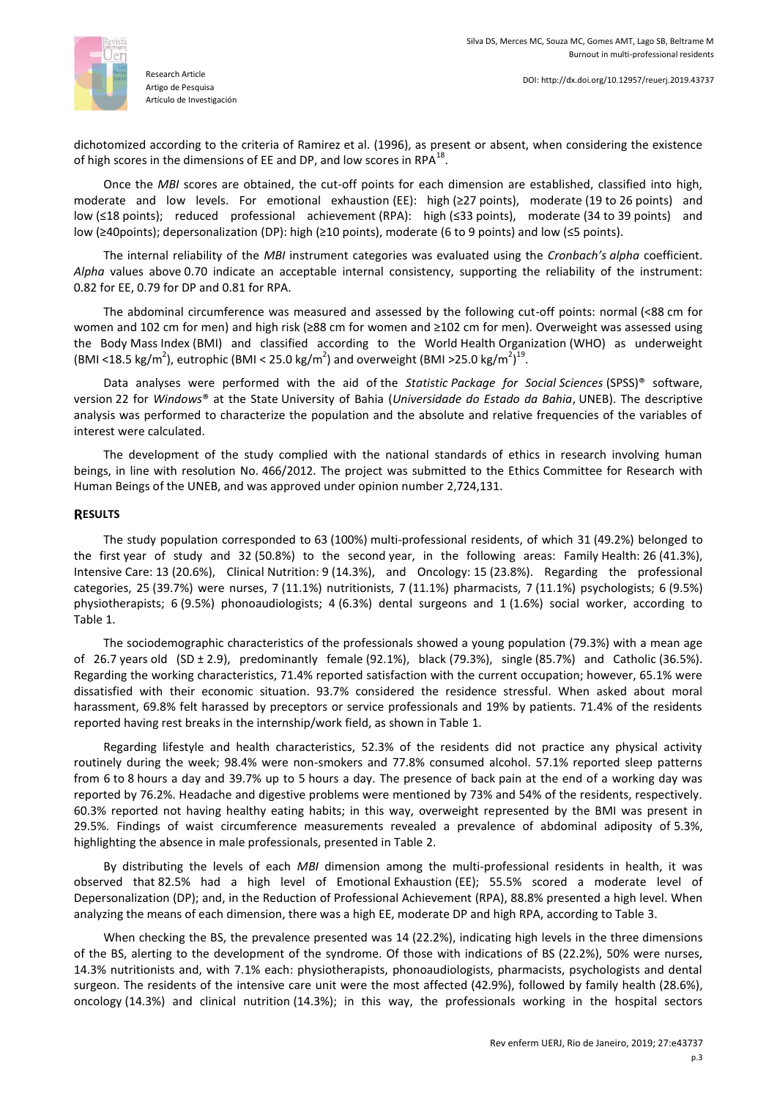

Research Article Artigo de Pesquisa Artículo de Investigación

dichotomized according to the criteria of Ramirez et al. (1996), as present or absent, when considering the existence of high scores in the dimensions of EE and DP, and low scores in RPA $^{18}$ .

Once the *MBI* scores are obtained, the cut-off points for each dimension are established, classified into high, moderate and low levels. For emotional exhaustion (EE): high (≥27 points), moderate (19 to 26 points) and low (≤18 points); reduced professional achievement (RPA): high (≤33 points), moderate (34 to 39 points) and low (≥40points); depersonalization (DP): high (≥10 points), moderate (6 to 9 points) and low (≤5 points).

The internal reliability of the *MBI* instrument categories was evaluated using the *Cronbach's alpha* coefficient. *Alpha* values above 0.70 indicate an acceptable internal consistency, supporting the reliability of the instrument: 0.82 for EE, 0.79 for DP and 0.81 for RPA.

The abdominal circumference was measured and assessed by the following cut-off points: normal (<88 cm for women and 102 cm for men) and high risk (≥88 cm for women and ≥102 cm for men). Overweight was assessed using the Body Mass Index (BMI) and classified according to the World Health Organization (WHO) as underweight (BMI <18.5 kg/m<sup>2</sup>), eutrophic (BMI < 25.0 kg/m<sup>2</sup>) and overweight (BMI >25.0 kg/m<sup>2</sup>)<sup>19</sup>.

Data analyses were performed with the aid of the *Statistic Package for Social Sciences* (SPSS)® software, version 22 for *Windows*® at the State University of Bahia (*Universidade do Estado da Bahia*, UNEB). The descriptive analysis was performed to characterize the population and the absolute and relative frequencies of the variables of interest were calculated.

The development of the study complied with the national standards of ethics in research involving human beings, in line with resolution No. 466/2012. The project was submitted to the Ethics Committee for Research with Human Beings of the UNEB, and was approved under opinion number 2,724,131.

## **RESULTS**

The study population corresponded to 63 (100%) multi-professional residents, of which 31 (49.2%) belonged to the first year of study and 32 (50.8%) to the second year, in the following areas: Family Health: 26 (41.3%), Intensive Care: 13 (20.6%), Clinical Nutrition: 9 (14.3%), and Oncology: 15 (23.8%). Regarding the professional categories, 25 (39.7%) were nurses, 7 (11.1%) nutritionists, 7 (11.1%) pharmacists, 7 (11.1%) psychologists; 6 (9.5%) physiotherapists; 6 (9.5%) phonoaudiologists; 4 (6.3%) dental surgeons and 1 (1.6%) social worker, according to Table 1.

The sociodemographic characteristics of the professionals showed a young population (79.3%) with a mean age of 26.7 years old (SD ± 2.9), predominantly female (92.1%), black (79.3%), single (85.7%) and Catholic (36.5%). Regarding the working characteristics, 71.4% reported satisfaction with the current occupation; however, 65.1% were dissatisfied with their economic situation. 93.7% considered the residence stressful. When asked about moral harassment, 69.8% felt harassed by preceptors or service professionals and 19% by patients. 71.4% of the residents reported having rest breaks in the internship/work field, as shown in Table 1.

Regarding lifestyle and health characteristics, 52.3% of the residents did not practice any physical activity routinely during the week; 98.4% were non-smokers and 77.8% consumed alcohol. 57.1% reported sleep patterns from 6 to 8 hours a day and 39.7% up to 5 hours a day. The presence of back pain at the end of a working day was reported by 76.2%. Headache and digestive problems were mentioned by 73% and 54% of the residents, respectively. 60.3% reported not having healthy eating habits; in this way, overweight represented by the BMI was present in 29.5%. Findings of waist circumference measurements revealed a prevalence of abdominal adiposity of 5.3%, highlighting the absence in male professionals, presented in Table 2.

By distributing the levels of each *MBI* dimension among the multi-professional residents in health, it was observed that 82.5% had a high level of Emotional Exhaustion (EE); 55.5% scored a moderate level of Depersonalization (DP); and, in the Reduction of Professional Achievement (RPA), 88.8% presented a high level. When analyzing the means of each dimension, there was a high EE, moderate DP and high RPA, according to Table 3.

When checking the BS, the prevalence presented was 14 (22.2%), indicating high levels in the three dimensions of the BS, alerting to the development of the syndrome. Of those with indications of BS (22.2%), 50% were nurses, 14.3% nutritionists and, with 7.1% each: physiotherapists, phonoaudiologists, pharmacists, psychologists and dental surgeon. The residents of the intensive care unit were the most affected (42.9%), followed by family health (28.6%), oncology (14.3%) and clinical nutrition (14.3%); in this way, the professionals working in the hospital sectors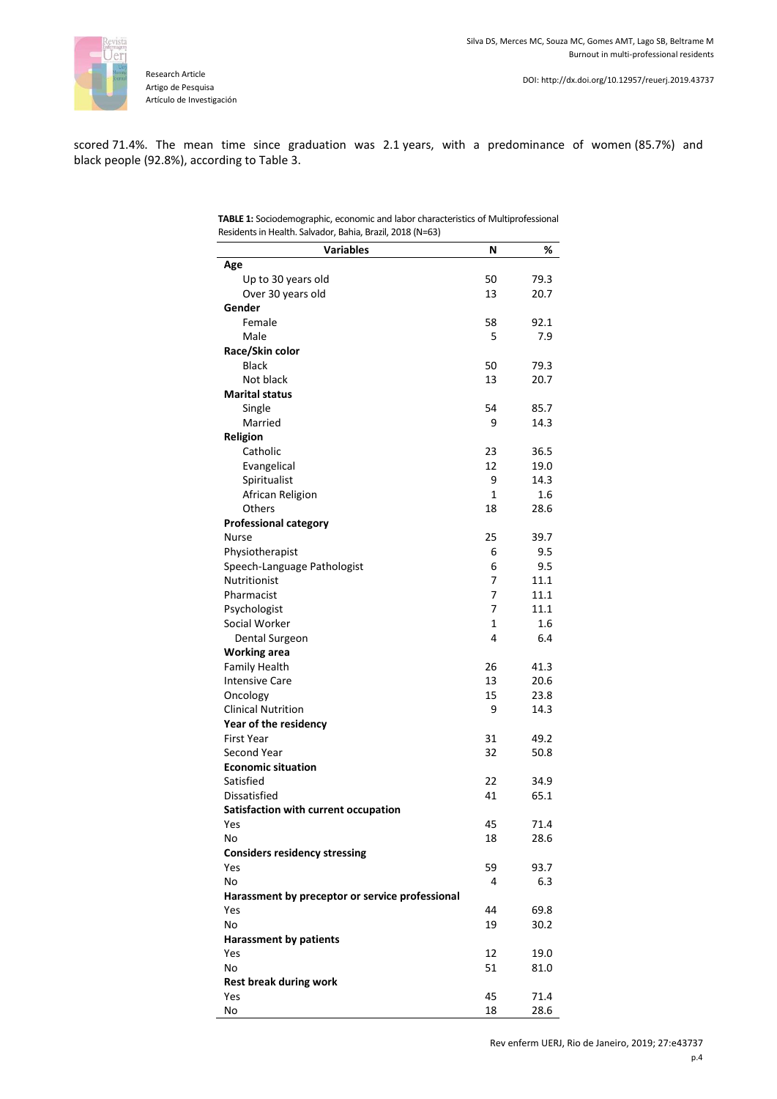

scored 71.4%. The mean time since graduation was 2.1 years, with a predominance of women (85.7%) and black people (92.8%), according to Table 3.

| <b>TABLE 1:</b> Sociodemographic, economic and labor characteristics of Multiprofessional |
|-------------------------------------------------------------------------------------------|
| Residents in Health. Salvador, Bahia, Brazil, 2018 (N=63)                                 |

| Age<br>50<br>79.3<br>Up to 30 years old<br>Over 30 years old<br>13<br>20.7<br>Gender<br>58<br>Female<br>92.1<br>5<br>7.9<br>Male<br>Race/Skin color<br><b>Black</b><br>50<br>79.3<br>Not black<br>13<br>20.7<br><b>Marital status</b><br>Single<br>54<br>85.7<br>Married<br>9<br>14.3<br>Religion<br>Catholic<br>23<br>36.5<br>12<br>Evangelical<br>19.0<br>Spiritualist<br>9<br>14.3<br>$\mathbf{1}$<br>1.6<br>African Religion<br>Others<br>18<br>28.6<br><b>Professional category</b><br>25<br>39.7<br><b>Nurse</b><br>Physiotherapist<br>6<br>9.5<br>6<br>9.5<br>Speech-Language Pathologist<br><b>Nutritionist</b><br>7<br>11.1<br>Pharmacist<br>7<br>11.1<br>Psychologist<br>7<br>11.1<br>Social Worker<br>1<br>1.6<br>4<br>6.4<br>Dental Surgeon<br><b>Working area</b><br><b>Family Health</b><br>26<br>41.3<br>13<br>20.6<br><b>Intensive Care</b><br>Oncology<br>15<br>23.8<br><b>Clinical Nutrition</b><br>9<br>14.3<br>Year of the residency<br><b>First Year</b><br>31<br>49.2<br>32<br>Second Year<br>50.8<br><b>Economic situation</b><br>Satisfied<br>22<br>34.9<br>65.1<br>Dissatisfied<br>41<br>Satisfaction with current occupation<br>45<br>71.4<br>Yes<br>No<br>18<br>28.6<br><b>Considers residency stressing</b><br>59<br>93.7<br>Yes<br>No<br>6.3<br>4<br>Harassment by preceptor or service professional<br>44<br>69.8<br>Yes<br>No<br>19<br>30.2<br><b>Harassment by patients</b><br>12<br>19.0<br>Yes<br>No<br>51<br>81.0<br><b>Rest break during work</b><br>Yes<br>45<br>71.4 | <b>Variables</b> | Ν  | %    |
|------------------------------------------------------------------------------------------------------------------------------------------------------------------------------------------------------------------------------------------------------------------------------------------------------------------------------------------------------------------------------------------------------------------------------------------------------------------------------------------------------------------------------------------------------------------------------------------------------------------------------------------------------------------------------------------------------------------------------------------------------------------------------------------------------------------------------------------------------------------------------------------------------------------------------------------------------------------------------------------------------------------------------------------------------------------------------------------------------------------------------------------------------------------------------------------------------------------------------------------------------------------------------------------------------------------------------------------------------------------------------------------------------------------------------------------------------------------------------------------------------------|------------------|----|------|
|                                                                                                                                                                                                                                                                                                                                                                                                                                                                                                                                                                                                                                                                                                                                                                                                                                                                                                                                                                                                                                                                                                                                                                                                                                                                                                                                                                                                                                                                                                            |                  |    |      |
|                                                                                                                                                                                                                                                                                                                                                                                                                                                                                                                                                                                                                                                                                                                                                                                                                                                                                                                                                                                                                                                                                                                                                                                                                                                                                                                                                                                                                                                                                                            |                  |    |      |
|                                                                                                                                                                                                                                                                                                                                                                                                                                                                                                                                                                                                                                                                                                                                                                                                                                                                                                                                                                                                                                                                                                                                                                                                                                                                                                                                                                                                                                                                                                            |                  |    |      |
|                                                                                                                                                                                                                                                                                                                                                                                                                                                                                                                                                                                                                                                                                                                                                                                                                                                                                                                                                                                                                                                                                                                                                                                                                                                                                                                                                                                                                                                                                                            |                  |    |      |
|                                                                                                                                                                                                                                                                                                                                                                                                                                                                                                                                                                                                                                                                                                                                                                                                                                                                                                                                                                                                                                                                                                                                                                                                                                                                                                                                                                                                                                                                                                            |                  |    |      |
|                                                                                                                                                                                                                                                                                                                                                                                                                                                                                                                                                                                                                                                                                                                                                                                                                                                                                                                                                                                                                                                                                                                                                                                                                                                                                                                                                                                                                                                                                                            |                  |    |      |
|                                                                                                                                                                                                                                                                                                                                                                                                                                                                                                                                                                                                                                                                                                                                                                                                                                                                                                                                                                                                                                                                                                                                                                                                                                                                                                                                                                                                                                                                                                            |                  |    |      |
|                                                                                                                                                                                                                                                                                                                                                                                                                                                                                                                                                                                                                                                                                                                                                                                                                                                                                                                                                                                                                                                                                                                                                                                                                                                                                                                                                                                                                                                                                                            |                  |    |      |
|                                                                                                                                                                                                                                                                                                                                                                                                                                                                                                                                                                                                                                                                                                                                                                                                                                                                                                                                                                                                                                                                                                                                                                                                                                                                                                                                                                                                                                                                                                            |                  |    |      |
|                                                                                                                                                                                                                                                                                                                                                                                                                                                                                                                                                                                                                                                                                                                                                                                                                                                                                                                                                                                                                                                                                                                                                                                                                                                                                                                                                                                                                                                                                                            |                  |    |      |
|                                                                                                                                                                                                                                                                                                                                                                                                                                                                                                                                                                                                                                                                                                                                                                                                                                                                                                                                                                                                                                                                                                                                                                                                                                                                                                                                                                                                                                                                                                            |                  |    |      |
|                                                                                                                                                                                                                                                                                                                                                                                                                                                                                                                                                                                                                                                                                                                                                                                                                                                                                                                                                                                                                                                                                                                                                                                                                                                                                                                                                                                                                                                                                                            |                  |    |      |
|                                                                                                                                                                                                                                                                                                                                                                                                                                                                                                                                                                                                                                                                                                                                                                                                                                                                                                                                                                                                                                                                                                                                                                                                                                                                                                                                                                                                                                                                                                            |                  |    |      |
|                                                                                                                                                                                                                                                                                                                                                                                                                                                                                                                                                                                                                                                                                                                                                                                                                                                                                                                                                                                                                                                                                                                                                                                                                                                                                                                                                                                                                                                                                                            |                  |    |      |
|                                                                                                                                                                                                                                                                                                                                                                                                                                                                                                                                                                                                                                                                                                                                                                                                                                                                                                                                                                                                                                                                                                                                                                                                                                                                                                                                                                                                                                                                                                            |                  |    |      |
|                                                                                                                                                                                                                                                                                                                                                                                                                                                                                                                                                                                                                                                                                                                                                                                                                                                                                                                                                                                                                                                                                                                                                                                                                                                                                                                                                                                                                                                                                                            |                  |    |      |
|                                                                                                                                                                                                                                                                                                                                                                                                                                                                                                                                                                                                                                                                                                                                                                                                                                                                                                                                                                                                                                                                                                                                                                                                                                                                                                                                                                                                                                                                                                            |                  |    |      |
|                                                                                                                                                                                                                                                                                                                                                                                                                                                                                                                                                                                                                                                                                                                                                                                                                                                                                                                                                                                                                                                                                                                                                                                                                                                                                                                                                                                                                                                                                                            |                  |    |      |
|                                                                                                                                                                                                                                                                                                                                                                                                                                                                                                                                                                                                                                                                                                                                                                                                                                                                                                                                                                                                                                                                                                                                                                                                                                                                                                                                                                                                                                                                                                            |                  |    |      |
|                                                                                                                                                                                                                                                                                                                                                                                                                                                                                                                                                                                                                                                                                                                                                                                                                                                                                                                                                                                                                                                                                                                                                                                                                                                                                                                                                                                                                                                                                                            |                  |    |      |
|                                                                                                                                                                                                                                                                                                                                                                                                                                                                                                                                                                                                                                                                                                                                                                                                                                                                                                                                                                                                                                                                                                                                                                                                                                                                                                                                                                                                                                                                                                            |                  |    |      |
|                                                                                                                                                                                                                                                                                                                                                                                                                                                                                                                                                                                                                                                                                                                                                                                                                                                                                                                                                                                                                                                                                                                                                                                                                                                                                                                                                                                                                                                                                                            |                  |    |      |
|                                                                                                                                                                                                                                                                                                                                                                                                                                                                                                                                                                                                                                                                                                                                                                                                                                                                                                                                                                                                                                                                                                                                                                                                                                                                                                                                                                                                                                                                                                            |                  |    |      |
|                                                                                                                                                                                                                                                                                                                                                                                                                                                                                                                                                                                                                                                                                                                                                                                                                                                                                                                                                                                                                                                                                                                                                                                                                                                                                                                                                                                                                                                                                                            |                  |    |      |
|                                                                                                                                                                                                                                                                                                                                                                                                                                                                                                                                                                                                                                                                                                                                                                                                                                                                                                                                                                                                                                                                                                                                                                                                                                                                                                                                                                                                                                                                                                            |                  |    |      |
|                                                                                                                                                                                                                                                                                                                                                                                                                                                                                                                                                                                                                                                                                                                                                                                                                                                                                                                                                                                                                                                                                                                                                                                                                                                                                                                                                                                                                                                                                                            |                  |    |      |
|                                                                                                                                                                                                                                                                                                                                                                                                                                                                                                                                                                                                                                                                                                                                                                                                                                                                                                                                                                                                                                                                                                                                                                                                                                                                                                                                                                                                                                                                                                            |                  |    |      |
|                                                                                                                                                                                                                                                                                                                                                                                                                                                                                                                                                                                                                                                                                                                                                                                                                                                                                                                                                                                                                                                                                                                                                                                                                                                                                                                                                                                                                                                                                                            |                  |    |      |
|                                                                                                                                                                                                                                                                                                                                                                                                                                                                                                                                                                                                                                                                                                                                                                                                                                                                                                                                                                                                                                                                                                                                                                                                                                                                                                                                                                                                                                                                                                            |                  |    |      |
|                                                                                                                                                                                                                                                                                                                                                                                                                                                                                                                                                                                                                                                                                                                                                                                                                                                                                                                                                                                                                                                                                                                                                                                                                                                                                                                                                                                                                                                                                                            |                  |    |      |
|                                                                                                                                                                                                                                                                                                                                                                                                                                                                                                                                                                                                                                                                                                                                                                                                                                                                                                                                                                                                                                                                                                                                                                                                                                                                                                                                                                                                                                                                                                            |                  |    |      |
|                                                                                                                                                                                                                                                                                                                                                                                                                                                                                                                                                                                                                                                                                                                                                                                                                                                                                                                                                                                                                                                                                                                                                                                                                                                                                                                                                                                                                                                                                                            |                  |    |      |
|                                                                                                                                                                                                                                                                                                                                                                                                                                                                                                                                                                                                                                                                                                                                                                                                                                                                                                                                                                                                                                                                                                                                                                                                                                                                                                                                                                                                                                                                                                            |                  |    |      |
|                                                                                                                                                                                                                                                                                                                                                                                                                                                                                                                                                                                                                                                                                                                                                                                                                                                                                                                                                                                                                                                                                                                                                                                                                                                                                                                                                                                                                                                                                                            |                  |    |      |
|                                                                                                                                                                                                                                                                                                                                                                                                                                                                                                                                                                                                                                                                                                                                                                                                                                                                                                                                                                                                                                                                                                                                                                                                                                                                                                                                                                                                                                                                                                            |                  |    |      |
|                                                                                                                                                                                                                                                                                                                                                                                                                                                                                                                                                                                                                                                                                                                                                                                                                                                                                                                                                                                                                                                                                                                                                                                                                                                                                                                                                                                                                                                                                                            |                  |    |      |
|                                                                                                                                                                                                                                                                                                                                                                                                                                                                                                                                                                                                                                                                                                                                                                                                                                                                                                                                                                                                                                                                                                                                                                                                                                                                                                                                                                                                                                                                                                            |                  |    |      |
|                                                                                                                                                                                                                                                                                                                                                                                                                                                                                                                                                                                                                                                                                                                                                                                                                                                                                                                                                                                                                                                                                                                                                                                                                                                                                                                                                                                                                                                                                                            |                  |    |      |
|                                                                                                                                                                                                                                                                                                                                                                                                                                                                                                                                                                                                                                                                                                                                                                                                                                                                                                                                                                                                                                                                                                                                                                                                                                                                                                                                                                                                                                                                                                            |                  |    |      |
|                                                                                                                                                                                                                                                                                                                                                                                                                                                                                                                                                                                                                                                                                                                                                                                                                                                                                                                                                                                                                                                                                                                                                                                                                                                                                                                                                                                                                                                                                                            |                  |    |      |
|                                                                                                                                                                                                                                                                                                                                                                                                                                                                                                                                                                                                                                                                                                                                                                                                                                                                                                                                                                                                                                                                                                                                                                                                                                                                                                                                                                                                                                                                                                            |                  |    |      |
|                                                                                                                                                                                                                                                                                                                                                                                                                                                                                                                                                                                                                                                                                                                                                                                                                                                                                                                                                                                                                                                                                                                                                                                                                                                                                                                                                                                                                                                                                                            |                  |    |      |
|                                                                                                                                                                                                                                                                                                                                                                                                                                                                                                                                                                                                                                                                                                                                                                                                                                                                                                                                                                                                                                                                                                                                                                                                                                                                                                                                                                                                                                                                                                            |                  |    |      |
|                                                                                                                                                                                                                                                                                                                                                                                                                                                                                                                                                                                                                                                                                                                                                                                                                                                                                                                                                                                                                                                                                                                                                                                                                                                                                                                                                                                                                                                                                                            |                  |    |      |
|                                                                                                                                                                                                                                                                                                                                                                                                                                                                                                                                                                                                                                                                                                                                                                                                                                                                                                                                                                                                                                                                                                                                                                                                                                                                                                                                                                                                                                                                                                            |                  |    |      |
|                                                                                                                                                                                                                                                                                                                                                                                                                                                                                                                                                                                                                                                                                                                                                                                                                                                                                                                                                                                                                                                                                                                                                                                                                                                                                                                                                                                                                                                                                                            |                  |    |      |
|                                                                                                                                                                                                                                                                                                                                                                                                                                                                                                                                                                                                                                                                                                                                                                                                                                                                                                                                                                                                                                                                                                                                                                                                                                                                                                                                                                                                                                                                                                            |                  |    |      |
|                                                                                                                                                                                                                                                                                                                                                                                                                                                                                                                                                                                                                                                                                                                                                                                                                                                                                                                                                                                                                                                                                                                                                                                                                                                                                                                                                                                                                                                                                                            |                  |    |      |
|                                                                                                                                                                                                                                                                                                                                                                                                                                                                                                                                                                                                                                                                                                                                                                                                                                                                                                                                                                                                                                                                                                                                                                                                                                                                                                                                                                                                                                                                                                            |                  |    |      |
|                                                                                                                                                                                                                                                                                                                                                                                                                                                                                                                                                                                                                                                                                                                                                                                                                                                                                                                                                                                                                                                                                                                                                                                                                                                                                                                                                                                                                                                                                                            |                  |    |      |
|                                                                                                                                                                                                                                                                                                                                                                                                                                                                                                                                                                                                                                                                                                                                                                                                                                                                                                                                                                                                                                                                                                                                                                                                                                                                                                                                                                                                                                                                                                            |                  |    |      |
|                                                                                                                                                                                                                                                                                                                                                                                                                                                                                                                                                                                                                                                                                                                                                                                                                                                                                                                                                                                                                                                                                                                                                                                                                                                                                                                                                                                                                                                                                                            |                  |    |      |
|                                                                                                                                                                                                                                                                                                                                                                                                                                                                                                                                                                                                                                                                                                                                                                                                                                                                                                                                                                                                                                                                                                                                                                                                                                                                                                                                                                                                                                                                                                            |                  |    |      |
|                                                                                                                                                                                                                                                                                                                                                                                                                                                                                                                                                                                                                                                                                                                                                                                                                                                                                                                                                                                                                                                                                                                                                                                                                                                                                                                                                                                                                                                                                                            | No               | 18 | 28.6 |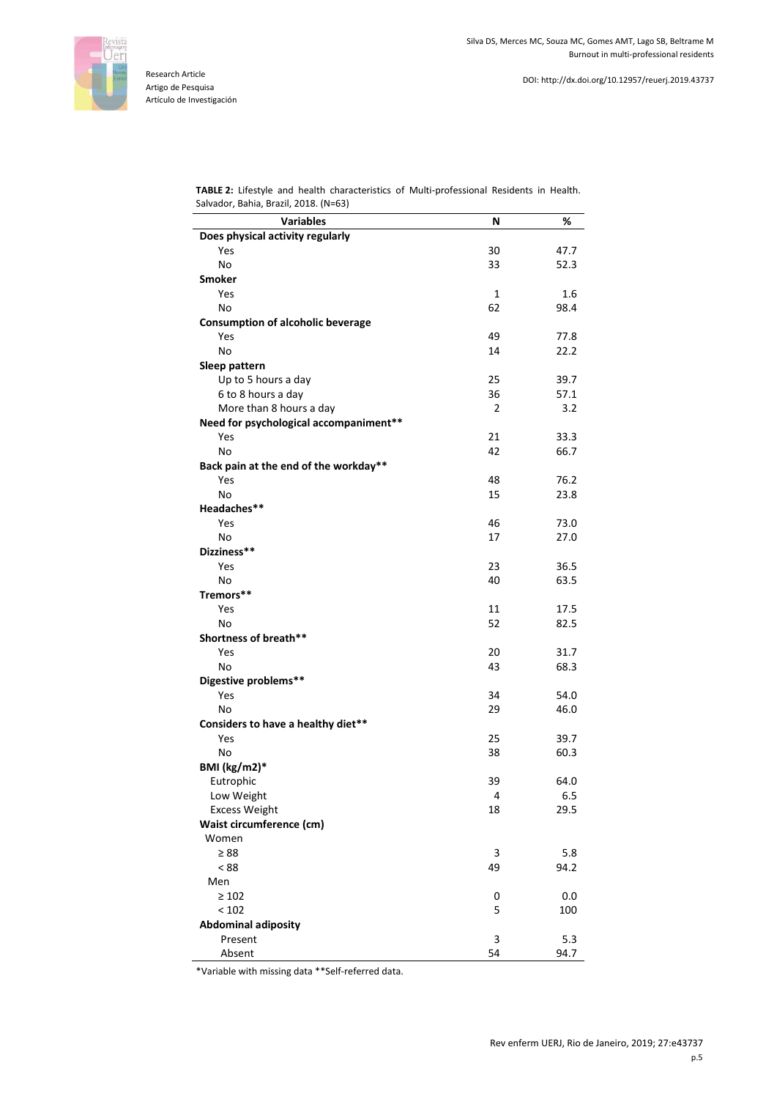

**TABLE 2:** Lifestyle and health characteristics of Multi-professional Residents in Health. Salvador, Bahia, Brazil, 2018. (N=63)

| <b>Variables</b><br>N<br>%<br>Does physical activity regularly<br>30<br>47.7<br>Yes<br>No<br>33<br>52.3<br><b>Smoker</b><br>Yes<br>1<br>1.6<br>62<br>No<br>98.4<br>Consumption of alcoholic beverage<br>Yes<br>49<br>77.8<br>No<br>14<br>22.2<br>Sleep pattern<br>39.7<br>Up to 5 hours a day<br>25<br>36<br>6 to 8 hours a day<br>57.1<br>More than 8 hours a day<br>2<br>3.2<br>Need for psychological accompaniment**<br>21<br>Yes<br>33.3<br>42<br>No<br>66.7<br>Back pain at the end of the workday**<br>Yes<br>48<br>76.2<br>No<br>15<br>23.8<br>Headaches**<br>Yes<br>46<br>73.0<br>No<br>17<br>27.0<br>Dizziness**<br>Yes<br>23<br>36.5<br>No<br>40<br>63.5<br>Tremors**<br>11 |
|----------------------------------------------------------------------------------------------------------------------------------------------------------------------------------------------------------------------------------------------------------------------------------------------------------------------------------------------------------------------------------------------------------------------------------------------------------------------------------------------------------------------------------------------------------------------------------------------------------------------------------------------------------------------------------------|
|                                                                                                                                                                                                                                                                                                                                                                                                                                                                                                                                                                                                                                                                                        |
|                                                                                                                                                                                                                                                                                                                                                                                                                                                                                                                                                                                                                                                                                        |
|                                                                                                                                                                                                                                                                                                                                                                                                                                                                                                                                                                                                                                                                                        |
|                                                                                                                                                                                                                                                                                                                                                                                                                                                                                                                                                                                                                                                                                        |
|                                                                                                                                                                                                                                                                                                                                                                                                                                                                                                                                                                                                                                                                                        |
|                                                                                                                                                                                                                                                                                                                                                                                                                                                                                                                                                                                                                                                                                        |
|                                                                                                                                                                                                                                                                                                                                                                                                                                                                                                                                                                                                                                                                                        |
|                                                                                                                                                                                                                                                                                                                                                                                                                                                                                                                                                                                                                                                                                        |
|                                                                                                                                                                                                                                                                                                                                                                                                                                                                                                                                                                                                                                                                                        |
|                                                                                                                                                                                                                                                                                                                                                                                                                                                                                                                                                                                                                                                                                        |
|                                                                                                                                                                                                                                                                                                                                                                                                                                                                                                                                                                                                                                                                                        |
|                                                                                                                                                                                                                                                                                                                                                                                                                                                                                                                                                                                                                                                                                        |
|                                                                                                                                                                                                                                                                                                                                                                                                                                                                                                                                                                                                                                                                                        |
|                                                                                                                                                                                                                                                                                                                                                                                                                                                                                                                                                                                                                                                                                        |
|                                                                                                                                                                                                                                                                                                                                                                                                                                                                                                                                                                                                                                                                                        |
|                                                                                                                                                                                                                                                                                                                                                                                                                                                                                                                                                                                                                                                                                        |
|                                                                                                                                                                                                                                                                                                                                                                                                                                                                                                                                                                                                                                                                                        |
|                                                                                                                                                                                                                                                                                                                                                                                                                                                                                                                                                                                                                                                                                        |
|                                                                                                                                                                                                                                                                                                                                                                                                                                                                                                                                                                                                                                                                                        |
|                                                                                                                                                                                                                                                                                                                                                                                                                                                                                                                                                                                                                                                                                        |
|                                                                                                                                                                                                                                                                                                                                                                                                                                                                                                                                                                                                                                                                                        |
|                                                                                                                                                                                                                                                                                                                                                                                                                                                                                                                                                                                                                                                                                        |
|                                                                                                                                                                                                                                                                                                                                                                                                                                                                                                                                                                                                                                                                                        |
|                                                                                                                                                                                                                                                                                                                                                                                                                                                                                                                                                                                                                                                                                        |
|                                                                                                                                                                                                                                                                                                                                                                                                                                                                                                                                                                                                                                                                                        |
|                                                                                                                                                                                                                                                                                                                                                                                                                                                                                                                                                                                                                                                                                        |
| Yes<br>17.5                                                                                                                                                                                                                                                                                                                                                                                                                                                                                                                                                                                                                                                                            |
| 52<br>No<br>82.5                                                                                                                                                                                                                                                                                                                                                                                                                                                                                                                                                                                                                                                                       |
| Shortness of breath**                                                                                                                                                                                                                                                                                                                                                                                                                                                                                                                                                                                                                                                                  |
| 20<br>Yes<br>31.7                                                                                                                                                                                                                                                                                                                                                                                                                                                                                                                                                                                                                                                                      |
| No<br>43<br>68.3                                                                                                                                                                                                                                                                                                                                                                                                                                                                                                                                                                                                                                                                       |
| Digestive problems**                                                                                                                                                                                                                                                                                                                                                                                                                                                                                                                                                                                                                                                                   |
| Yes<br>34<br>54.0                                                                                                                                                                                                                                                                                                                                                                                                                                                                                                                                                                                                                                                                      |
| No<br>29<br>46.0                                                                                                                                                                                                                                                                                                                                                                                                                                                                                                                                                                                                                                                                       |
| Considers to have a healthy diet**                                                                                                                                                                                                                                                                                                                                                                                                                                                                                                                                                                                                                                                     |
| 25<br>39.7<br>Yes                                                                                                                                                                                                                                                                                                                                                                                                                                                                                                                                                                                                                                                                      |
| No<br>38<br>60.3                                                                                                                                                                                                                                                                                                                                                                                                                                                                                                                                                                                                                                                                       |
| BMI (kg/m2)*                                                                                                                                                                                                                                                                                                                                                                                                                                                                                                                                                                                                                                                                           |
| 39<br>64.0<br>Eutrophic                                                                                                                                                                                                                                                                                                                                                                                                                                                                                                                                                                                                                                                                |
| Low Weight<br>Δ<br>6.5                                                                                                                                                                                                                                                                                                                                                                                                                                                                                                                                                                                                                                                                 |
| <b>Excess Weight</b><br>18<br>29.5                                                                                                                                                                                                                                                                                                                                                                                                                                                                                                                                                                                                                                                     |
| Waist circumference (cm)                                                                                                                                                                                                                                                                                                                                                                                                                                                                                                                                                                                                                                                               |
| Women                                                                                                                                                                                                                                                                                                                                                                                                                                                                                                                                                                                                                                                                                  |
| $\geq 88$<br>3<br>5.8                                                                                                                                                                                                                                                                                                                                                                                                                                                                                                                                                                                                                                                                  |
| < 88<br>49<br>94.2                                                                                                                                                                                                                                                                                                                                                                                                                                                                                                                                                                                                                                                                     |
| Men                                                                                                                                                                                                                                                                                                                                                                                                                                                                                                                                                                                                                                                                                    |
| $\geq 102$<br>0.0<br>0                                                                                                                                                                                                                                                                                                                                                                                                                                                                                                                                                                                                                                                                 |
| < 102<br>5<br>100                                                                                                                                                                                                                                                                                                                                                                                                                                                                                                                                                                                                                                                                      |
| <b>Abdominal adiposity</b>                                                                                                                                                                                                                                                                                                                                                                                                                                                                                                                                                                                                                                                             |
| 3<br>Present<br>5.3                                                                                                                                                                                                                                                                                                                                                                                                                                                                                                                                                                                                                                                                    |
| Absent<br>54<br>94.7                                                                                                                                                                                                                                                                                                                                                                                                                                                                                                                                                                                                                                                                   |

\*Variable with missing data \*\*Self-referred data.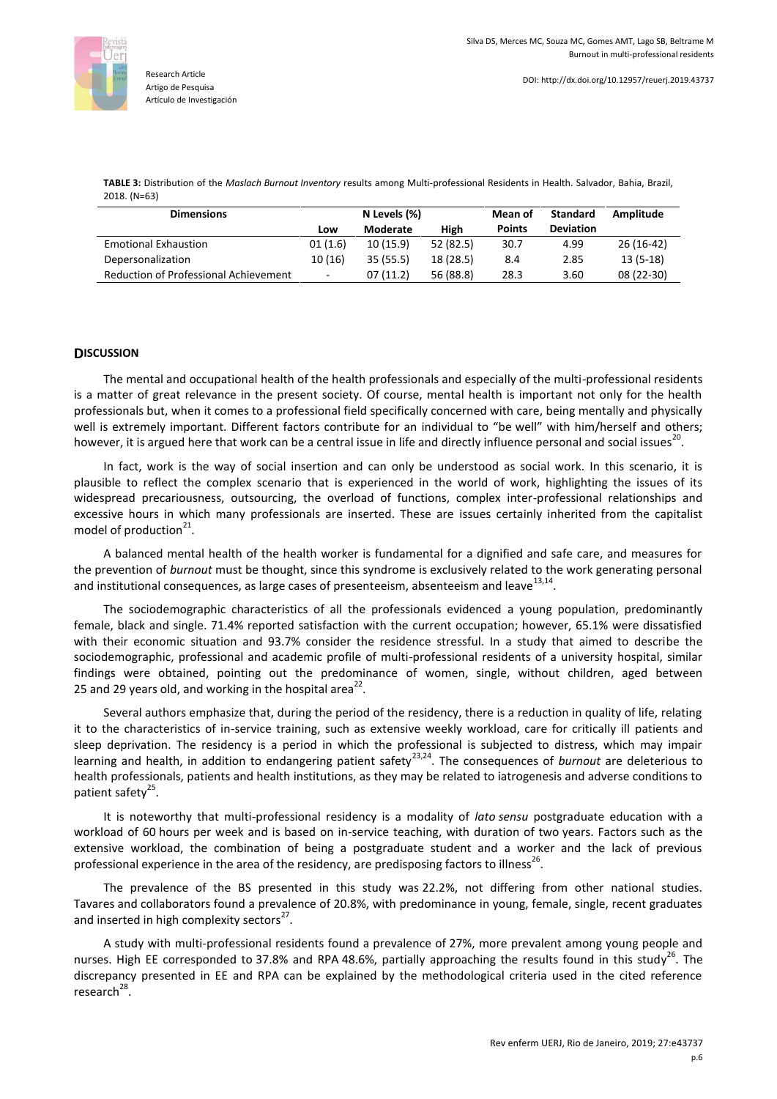

**TABLE 3:** Distribution of the *Maslach Burnout Inventory* results among Multi-professional Residents in Health. Salvador, Bahia, Brazil, 2018. (N=63)

| <b>Dimensions</b>                     | N Levels (%)             |          |           | Mean of       | <b>Standard</b>  | Amplitude  |
|---------------------------------------|--------------------------|----------|-----------|---------------|------------------|------------|
|                                       | Low                      | Moderate | High      | <b>Points</b> | <b>Deviation</b> |            |
| <b>Emotional Exhaustion</b>           | 01(1.6)                  | 10(15.9) | 52 (82.5) | 30.7          | 4.99             | 26 (16-42) |
| Depersonalization                     | 10 (16)                  | 35(55.5) | 18 (28.5) | 8.4           | 2.85             | $13(5-18)$ |
| Reduction of Professional Achievement | $\overline{\phantom{a}}$ | 07(11.2) | 56 (88.8) | 28.3          | 3.60             | 08 (22-30) |

# **DISCUSSION**

The mental and occupational health of the health professionals and especially of the multi-professional residents is a matter of great relevance in the present society. Of course, mental health is important not only for the health professionals but, when it comes to a professional field specifically concerned with care, being mentally and physically well is extremely important. Different factors contribute for an individual to "be well" with him/herself and others; however, it is argued here that work can be a central issue in life and directly influence personal and social issues<sup>20</sup>.

In fact, work is the way of social insertion and can only be understood as social work. In this scenario, it is plausible to reflect the complex scenario that is experienced in the world of work, highlighting the issues of its widespread precariousness, outsourcing, the overload of functions, complex inter-professional relationships and excessive hours in which many professionals are inserted. These are issues certainly inherited from the capitalist model of production<sup>21</sup>.

A balanced mental health of the health worker is fundamental for a dignified and safe care, and measures for the prevention of *burnout* must be thought, since this syndrome is exclusively related to the work generating personal and institutional consequences, as large cases of presenteeism, absenteeism and leave<sup>13,14</sup>.

The sociodemographic characteristics of all the professionals evidenced a young population, predominantly female, black and single. 71.4% reported satisfaction with the current occupation; however, 65.1% were dissatisfied with their economic situation and 93.7% consider the residence stressful. In a study that aimed to describe the sociodemographic, professional and academic profile of multi-professional residents of a university hospital, similar findings were obtained, pointing out the predominance of women, single, without children, aged between 25 and 29 years old, and working in the hospital area<sup>22</sup>.

Several authors emphasize that, during the period of the residency, there is a reduction in quality of life, relating it to the characteristics of in-service training, such as extensive weekly workload, care for critically ill patients and sleep deprivation. The residency is a period in which the professional is subjected to distress, which may impair learning and health, in addition to endangering patient safety<sup>23,24</sup>. The consequences of burnout are deleterious to health professionals, patients and health institutions, as they may be related to iatrogenesis and adverse conditions to patient safety<sup>25</sup>.

It is noteworthy that multi-professional residency is a modality of *lato sensu* postgraduate education with a workload of 60 hours per week and is based on in-service teaching, with duration of two years. Factors such as the extensive workload, the combination of being a postgraduate student and a worker and the lack of previous professional experience in the area of the residency, are predisposing factors to illness<sup>26</sup>.

The prevalence of the BS presented in this study was 22.2%, not differing from other national studies. Tavares and collaborators found a prevalence of 20.8%, with predominance in young, female, single, recent graduates and inserted in high complexity sectors $^{27}$ .

A study with multi-professional residents found a prevalence of 27%, more prevalent among young people and nurses. High EE corresponded to 37.8% and RPA 48.6%, partially approaching the results found in this study<sup>26</sup>. The discrepancy presented in EE and RPA can be explained by the methodological criteria used in the cited reference research<sup>28</sup>.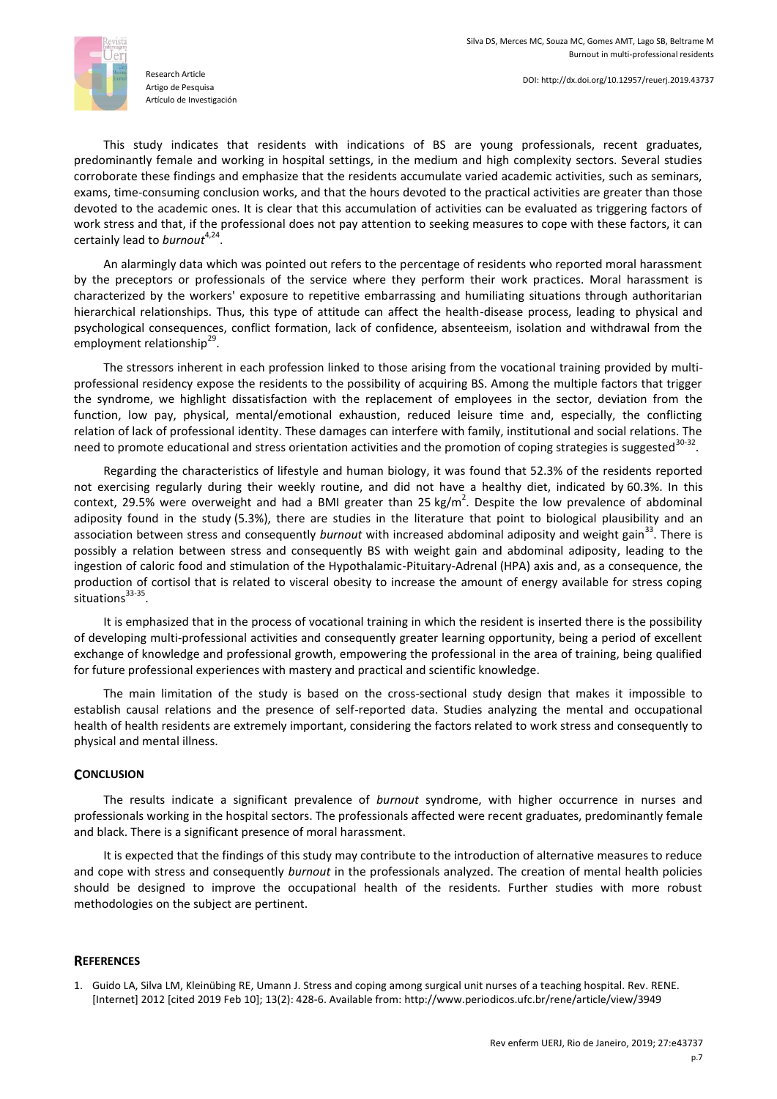

This study indicates that residents with indications of BS are young professionals, recent graduates, predominantly female and working in hospital settings, in the medium and high complexity sectors. Several studies corroborate these findings and emphasize that the residents accumulate varied academic activities, such as seminars, exams, time-consuming conclusion works, and that the hours devoted to the practical activities are greater than those devoted to the academic ones. It is clear that this accumulation of activities can be evaluated as triggering factors of work stress and that, if the professional does not pay attention to seeking measures to cope with these factors, it can certainly lead to *burnout*<sup>4,24</sup>.

An alarmingly data which was pointed out refers to the percentage of residents who reported moral harassment by the preceptors or professionals of the service where they perform their work practices. Moral harassment is characterized by the workers' exposure to repetitive embarrassing and humiliating situations through authoritarian hierarchical relationships. Thus, this type of attitude can affect the health-disease process, leading to physical and psychological consequences, conflict formation, lack of confidence, absenteeism, isolation and withdrawal from the employment relationship<sup>29</sup>.

The stressors inherent in each profession linked to those arising from the vocational training provided by multiprofessional residency expose the residents to the possibility of acquiring BS. Among the multiple factors that trigger the syndrome, we highlight dissatisfaction with the replacement of employees in the sector, deviation from the function, low pay, physical, mental/emotional exhaustion, reduced leisure time and, especially, the conflicting relation of lack of professional identity. These damages can interfere with family, institutional and social relations. The need to promote educational and stress orientation activities and the promotion of coping strategies is suggested<sup>30-32</sup>.

Regarding the characteristics of lifestyle and human biology, it was found that 52.3% of the residents reported not exercising regularly during their weekly routine, and did not have a healthy diet, indicated by 60.3%. In this context, 29.5% were overweight and had a BMI greater than 25 kg/m<sup>2</sup>. Despite the low prevalence of abdominal adiposity found in the study (5.3%), there are studies in the literature that point to biological plausibility and an association between stress and consequently *burnout* with increased abdominal adiposity and weight gain<sup>33</sup>. There is possibly a relation between stress and consequently BS with weight gain and abdominal adiposity, leading to the ingestion of caloric food and stimulation of the Hypothalamic-Pituitary-Adrenal (HPA) axis and, as a consequence, the production of cortisol that is related to visceral obesity to increase the amount of energy available for stress coping situations<sup>33-35</sup> .

It is emphasized that in the process of vocational training in which the resident is inserted there is the possibility of developing multi-professional activities and consequently greater learning opportunity, being a period of excellent exchange of knowledge and professional growth, empowering the professional in the area of training, being qualified for future professional experiences with mastery and practical and scientific knowledge.

The main limitation of the study is based on the cross-sectional study design that makes it impossible to establish causal relations and the presence of self-reported data. Studies analyzing the mental and occupational health of health residents are extremely important, considering the factors related to work stress and consequently to physical and mental illness.

### **CONCLUSION**

The results indicate a significant prevalence of *burnout* syndrome, with higher occurrence in nurses and professionals working in the hospital sectors. The professionals affected were recent graduates, predominantly female and black. There is a significant presence of moral harassment.

It is expected that the findings of this study may contribute to the introduction of alternative measures to reduce and cope with stress and consequently *burnout* in the professionals analyzed. The creation of mental health policies should be designed to improve the occupational health of the residents. Further studies with more robust methodologies on the subject are pertinent.

### **REFERENCES**

1. Guido LA, Silva LM, Kleinübing RE, Umann J. Stress and coping among surgical unit nurses of a teaching hospital. Rev. RENE. [Internet] 2012 [cited 2019 Feb 10]; 13(2): 428-6. Available from:<http://www.periodicos.ufc.br/rene/article/view/3949>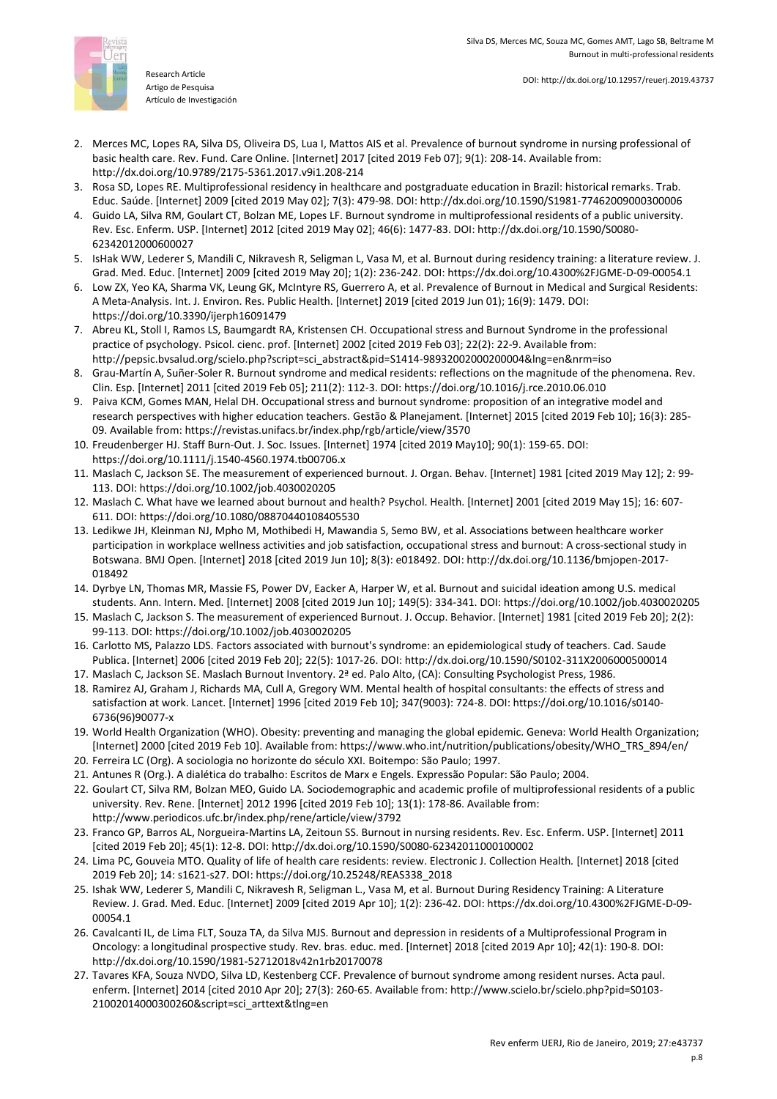

Research Article Artigo de Pesquisa Artículo de Investigación

- 2. Merces MC, Lopes RA, Silva DS, Oliveira DS, Lua I, Mattos AIS et al. Prevalence of burnout syndrome in nursing professional of basic health care. Rev. Fund. Care Online. [Internet] 2017 [cited 2019 Feb 07]; 9(1): 208-14. Available from: <http://dx.doi.org/10.9789/2175-5361.2017.v9i1.208-214>
- 3. Rosa SD, Lopes RE. Multiprofessional residency in healthcare and postgraduate education in Brazil: historical remarks. Trab. Educ. Saúde. [Internet] 2009 [cited 2019 May 02]; 7(3): 479-98. DOI[: http://dx.doi.org/10.1590/S1981-77462009000300006](http://dx.doi.org/10.1590/S1981-77462009000300006)
- 4. Guido LA, Silva RM, Goulart CT, Bolzan ME, Lopes LF. Burnout syndrome in multiprofessional residents of a public university. Rev. Esc. Enferm. USP. [Internet] 2012 [cited 2019 May 02]; 46(6): 1477-83. DOI[: http://dx.doi.org/10.1590/S0080-](http://dx.doi.org/10.1590/S0080-62342012000600027) [62342012000600027](http://dx.doi.org/10.1590/S0080-62342012000600027)
- 5. IsHak WW, Lederer S, Mandili C, Nikravesh R, Seligman L, Vasa M, et al. Burnout during residency training: a literature review. J. Grad. Med. Educ. [Internet] 2009 [cited 2019 May 20]; 1(2): 236-242. DOI[: https://dx.doi.org/10.4300%2FJGME-D-09-00054.1](https://dx.doi.org/10.4300%2FJGME-D-09-00054.1)
- 6. Low ZX, Yeo KA, Sharma VK, Leung GK, McIntyre RS, Guerrero A, et al. Prevalence of Burnout in Medical and Surgical Residents: A Meta-Analysis. Int. J. Environ. Res. Public Health. [Internet] 2019 [cited 2019 Jun 01); 16(9): 1479. DOI: <https://doi.org/10.3390/ijerph16091479>
- 7. Abreu KL, Stoll I, Ramos LS, Baumgardt RA, Kristensen CH. Occupational stress and Burnout Syndrome in the professional practice of psychology. Psicol. cienc. prof. [Internet] 2002 [cited 2019 Feb 03]; 22(2): 22-9. Available from: [http://pepsic.bvsalud.org/scielo.php?script=sci\\_abstract&pid=S1414-98932002000200004&lng=en&nrm=iso](http://pepsic.bvsalud.org/scielo.php?script=sci_abstract&pid=S1414-98932002000200004&lng=en&nrm=iso)
- 8. Grau-Martín A, Suñer-Soler R. Burnout syndrome and medical residents: reflections on the magnitude of the phenomena. Rev. Clin. Esp. [Internet] 2011 [cited 2019 Feb 05]; 211(2): 112-3. DOI:<https://doi.org/10.1016/j.rce.2010.06.010>
- 9. Paiva KCM, Gomes MAN, Helal DH. Occupational stress and burnout syndrome: proposition of an integrative model and research perspectives with higher education teachers. Gestão & Planejament. [Internet] 2015 [cited 2019 Feb 10]; 16(3): 285- 09. Available from:<https://revistas.unifacs.br/index.php/rgb/article/view/3570>
- 10. Freudenberger HJ. Staff Burn-Out. J. Soc. Issues. [Internet] 1974 [cited 2019 May10]; 90(1): 159-65. DOI: <https://doi.org/10.1111/j.1540-4560.1974.tb00706.x>
- 11. Maslach C, Jackson SE. The measurement of experienced burnout. J. Organ. Behav. [Internet] 1981 [cited 2019 May 12]; 2: 99- 113. DOI[: https://doi.org/10.1002/job.4030020205](https://doi.org/10.1002/job.4030020205)
- 12. Maslach C. What have we learned about burnout and health? Psychol. Health. [Internet] 2001 [cited 2019 May 15]; 16: 607- 611. DOI[: https://doi.org/10.1080/08870440108405530](https://doi.org/10.1080/08870440108405530)
- 13. Ledikwe JH, Kleinman NJ, Mpho M, Mothibedi H, Mawandia S, Semo BW, et al. Associations between healthcare worker participation in workplace wellness activities and job satisfaction, occupational stress and burnout: A cross-sectional study in Botswana. BMJ Open. [Internet] 2018 [cited 2019 Jun 10]; 8(3): e018492. DOI[: http://dx.doi.org/10.1136/bmjopen-2017-](http://dx.doi.org/10.1136/bmjopen-2017-018492) [018492](http://dx.doi.org/10.1136/bmjopen-2017-018492)
- 14. Dyrbye LN, Thomas MR, Massie FS, Power DV, Eacker A, Harper W, et al. Burnout and suicidal ideation among U.S. medical students. Ann. Intern. Med. [Internet] 2008 [cited 2019 Jun 10]; 149(5): 334-341. DOI[: https://doi.org/10.1002/job.4030020205](https://doi.org/10.1002/job.4030020205)
- 15. Maslach C, Jackson S. The measurement of experienced Burnout. J. Occup. Behavior. [Internet] 1981 [cited 2019 Feb 20]; 2(2): 99-113. DOI:<https://doi.org/10.1002/job.4030020205>
- 16. Carlotto MS, Palazzo LDS. Factors associated with burnout's syndrome: an epidemiological study of teachers. Cad. Saude Publica. [Internet] 2006 [cited 2019 Feb 20]; 22(5): 1017-26. DOI[: http://dx.doi.org/10.1590/S0102-311X2006000500014](http://dx.doi.org/10.1590/S0102-311X2006000500014)
- 17. Maslach C, Jackson SE. Maslach Burnout Inventory. 2ª ed. Palo Alto, (CA): Consulting Psychologist Press, 1986.
- 18. Ramirez AJ, Graham J, Richards MA, Cull A, Gregory WM. Mental health of hospital consultants: the effects of stress and satisfaction at work. Lancet. [Internet] 1996 [cited 2019 Feb 10]; 347(9003): 724-8. DOI[: https://doi.org/10.1016/s0140-](https://doi.org/10.1016/s0140-6736(96)90077-x) [6736\(96\)90077-x](https://doi.org/10.1016/s0140-6736(96)90077-x)
- 19. World Health Organization (WHO). Obesity: preventing and managing the global epidemic. Geneva: World Health Organization; [Internet] 2000 [cited 2019 Feb 10]. Available from: [https://www.who.int/nutrition/publications/obesity/WHO\\_TRS\\_894/en/](https://www.who.int/nutrition/publications/obesity/WHO_TRS_894/en/)
- 20. Ferreira LC (Org). A sociologia no horizonte do século XXI*.* Boitempo: São Paulo; 1997.
- 21. Antunes R (Org.). A dialética do trabalho: Escritos de Marx e Engels. Expressão Popular: São Paulo; 2004.
- 22. Goulart CT, Silva RM, Bolzan MEO, Guido LA. Sociodemographic and academic profile of multiprofessional residents of a public university. Rev. Rene. [Internet] 2012 1996 [cited 2019 Feb 10]; 13(1): 178-86. Available from: <http://www.periodicos.ufc.br/index.php/rene/article/view/3792>
- 23. Franco GP, Barros AL, Norgueira-Martins LA, Zeitoun SS. Burnout in nursing residents. Rev. Esc. Enferm. USP. [Internet] 2011 [cited 2019 Feb 20]; 45(1): 12-8. DOI[: http://dx.doi.org/10.1590/S0080-62342011000100002](http://dx.doi.org/10.1590/S0080-62342011000100002)
- 24. Lima PC, Gouveia MTO. Quality of life of health care residents: review. Electronic J. Collection Health*.* [Internet] 2018 [cited 2019 Feb 20]; 14: s1621-s27. DOI[: https://doi.org/10.25248/REAS338\\_2018](https://doi.org/10.25248/REAS338_2018)
- 25. Ishak WW, Lederer S, Mandili C, Nikravesh R, Seligman L., Vasa M, et al. Burnout During Residency Training: A Literature Review. J. Grad. Med. Educ. [Internet] 2009 [cited 2019 Apr 10]; 1(2): 236-42. DOI[: https://dx.doi.org/10.4300%2FJGME-D-09-](https://dx.doi.org/10.4300%2FJGME-D-09-00054.1) [00054.1](https://dx.doi.org/10.4300%2FJGME-D-09-00054.1)
- 26. Cavalcanti IL, de Lima FLT, Souza TA, da Silva MJS. Burnout and depression in residents of a Multiprofessional Program in Oncology: a longitudinal prospective study. Rev. bras. educ. med. [Internet] 2018 [cited 2019 Apr 10]; 42(1): 190-8. DOI: <http://dx.doi.org/10.1590/1981-52712018v42n1rb20170078>
- 27. Tavares KFA, Souza NVDO, Silva LD, Kestenberg CCF. Prevalence of burnout syndrome among resident nurses. Acta paul. enferm. [Internet] 2014 [cited 2010 Apr 20]; 27(3): 260-65. Available from[: http://www.scielo.br/scielo.php?pid=S0103-](http://www.scielo.br/scielo.php?pid=S0103-21002014000300260&script=sci_arttext&tlng=en) [21002014000300260&script=sci\\_arttext&tlng=en](http://www.scielo.br/scielo.php?pid=S0103-21002014000300260&script=sci_arttext&tlng=en)